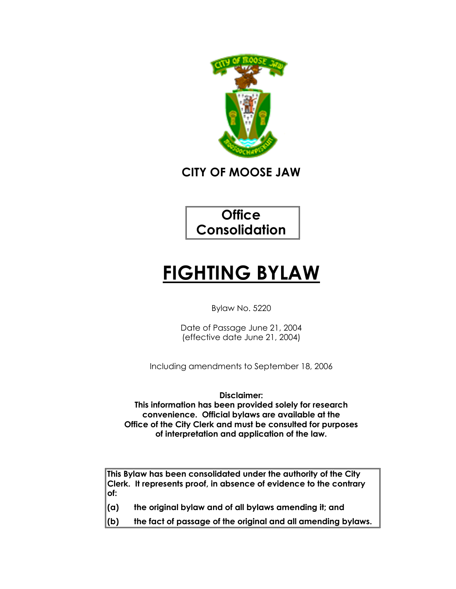

**CITY OF MOOSE JAW**

**Office Consolidation**

# **FIGHTING BYLAW**

Bylaw No. 5220

Date of Passage June 21, 2004 (effective date June 21, 2004)

Including amendments to September 18, 2006

**Disclaimer: This information has been provided solely for research convenience. Official bylaws are available at the Office of the City Clerk and must be consulted for purposes of interpretation and application of the law.**

**This Bylaw has been consolidated under the authority of the City Clerk. It represents proof, in absence of evidence to the contrary of:** 

**(a) the original bylaw and of all bylaws amending it; and** 

**(b) the fact of passage of the original and all amending bylaws.**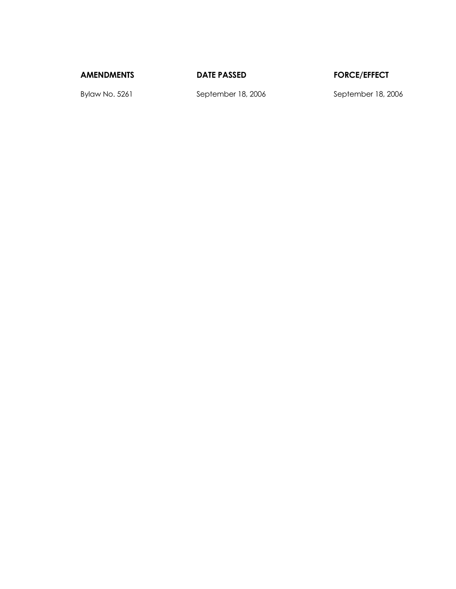**AMENDMENTS DATE PASSED FORCE/EFFECT**

Bylaw No. 5261 September 18, 2006 September 18, 2006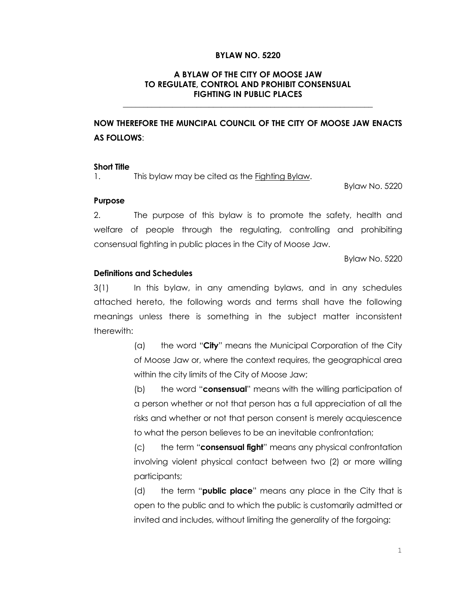#### **BYLAW NO. 5220**

#### **A BYLAW OF THE CITY OF MOOSE JAW TO REGULATE, CONTROL AND PROHIBIT CONSENSUAL FIGHTING IN PUBLIC PLACES**

**\_\_\_\_\_\_\_\_\_\_\_\_\_\_\_\_\_\_\_\_\_\_\_\_\_\_\_\_\_\_\_\_\_\_\_\_\_\_\_\_\_\_\_\_\_\_\_\_\_\_\_\_\_\_\_\_\_\_\_\_\_**

## **NOW THEREFORE THE MUNCIPAL COUNCIL OF THE CITY OF MOOSE JAW ENACTS AS FOLLOWS**:

#### **Short Title**

1. This bylaw may be cited as the Fighting Bylaw.

Bylaw No. 5220

#### **Purpose**

2. The purpose of this bylaw is to promote the safety, health and welfare of people through the regulating, controlling and prohibiting consensual fighting in public places in the City of Moose Jaw.

Bylaw No. 5220

#### **Definitions and Schedules**

3(1) In this bylaw, in any amending bylaws, and in any schedules attached hereto, the following words and terms shall have the following meanings unless there is something in the subject matter inconsistent therewith:

> (a) the word "**City**" means the Municipal Corporation of the City of Moose Jaw or, where the context requires, the geographical area within the city limits of the City of Moose Jaw;

> (b) the word "**consensual**" means with the willing participation of a person whether or not that person has a full appreciation of all the risks and whether or not that person consent is merely acquiescence to what the person believes to be an inevitable confrontation;

> (c) the term "**consensual fight**" means any physical confrontation involving violent physical contact between two (2) or more willing participants;

> (d) the term "**public place**" means any place in the City that is open to the public and to which the public is customarily admitted or invited and includes, without limiting the generality of the forgoing: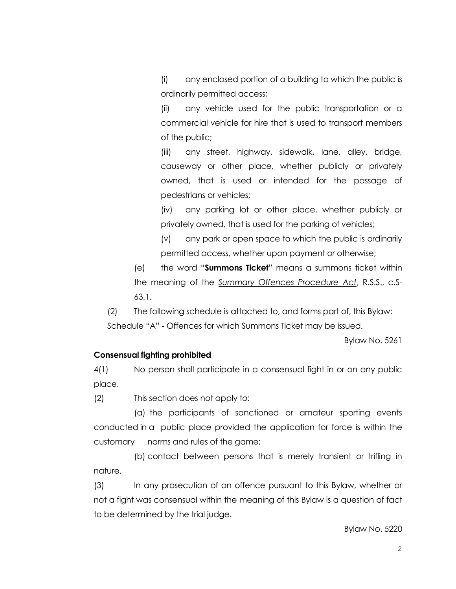(i) any enclosed portion of a building to which the public is ordinarily permitted access;

(ii) any vehicle used for the public transportation or a commercial vehicle for hire that is used to transport members of the public;

(iii) any street, highway, sidewalk, lane, alley, bridge, causeway or other place, whether publicly or privately owned, that is used or intended for the passage of pedestrians or vehicles;

(iv) any parking lot or other place, whether publicly or privately owned, that is used for the parking of vehicles;

(v) any park or open space to which the public is ordinarily permitted access, whether upon payment or otherwise;

(e) the word "**Summons Ticket**" means a summons ticket within the meaning of the *Summary Offences Procedure Act*, R.S.S., c.S-63.1.

(2) The following schedule is attached to, and forms part of, this Bylaw: Schedule "A" - Offences for which Summons Ticket may be issued.

Bylaw No. 5261

## **Consensual fighting prohibited**

4(1) No person shall participate in a consensual fight in or on any public place.

(2) This section does not apply to:

(a) the participants of sanctioned or amateur sporting events conducted in a public place provided the application for force is within the customary norms and rules of the game;

(b) contact between persons that is merely transient or trifling in nature.

(3) In any prosecution of an offence pursuant to this Bylaw, whether or not a fight was consensual within the meaning of this Bylaw is a question of fact to be determined by the trial judge.

Bylaw No. 5220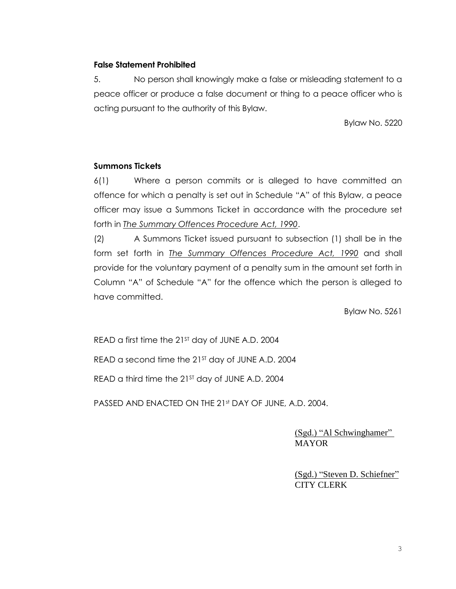### **False Statement Prohibited**

5. No person shall knowingly make a false or misleading statement to a peace officer or produce a false document or thing to a peace officer who is acting pursuant to the authority of this Bylaw.

Bylaw No. 5220

## **Summons Tickets**

6(1) Where a person commits or is alleged to have committed an offence for which a penalty is set out in Schedule "A" of this Bylaw, a peace officer may issue a Summons Ticket in accordance with the procedure set forth in *The Summary Offences Procedure Act, 1990*.

(2) A Summons Ticket issued pursuant to subsection (1) shall be in the form set forth in *The Summary Offences Procedure Act, 1990* and shall provide for the voluntary payment of a penalty sum in the amount set forth in Column "A" of Schedule "A" for the offence which the person is alleged to have committed.

Bylaw No. 5261

READ a first time the 21<sup>ST</sup> day of JUNE A.D. 2004

READ a second time the  $21^{57}$  day of JUNE A.D. 2004

READ a third time the 21<sup>ST</sup> day of JUNE A.D. 2004

PASSED AND ENACTED ON THE 21st DAY OF JUNE, A.D. 2004.

(Sgd.) "Al Schwinghamer" **MAYOR** 

(Sgd.) "Steven D. Schiefner" CITY CLERK